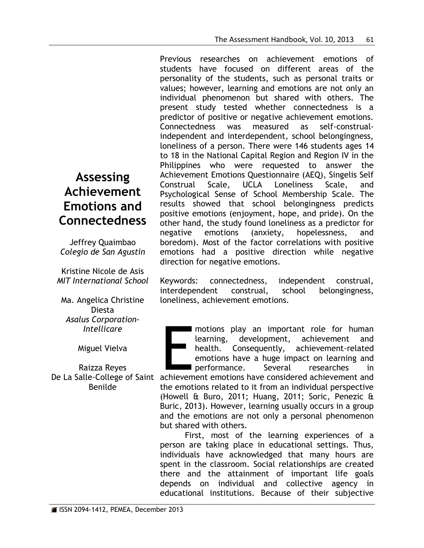Previous researches on achievement emotions of students have focused on different areas of the personality of the students, such as personal traits or values; however, learning and emotions are not only an individual phenomenon but shared with others. The present study tested whether connectedness is a predictor of positive or negative achievement emotions. Connectedness was measured as self-construalindependent and interdependent, school belongingness, loneliness of a person. There were 146 students ages 14 to 18 in the National Capital Region and Region IV in the Philippines who were requested to answer the Achievement Emotions Questionnaire (AEQ), Singelis Self Construal Scale, UCLA Loneliness Scale, and Psychological Sense of School Membership Scale. The results showed that school belongingness predicts positive emotions (enjoyment, hope, and pride). On the other hand, the study found loneliness as a predictor for negative emotions (anxiety, hopelessness, and boredom). Most of the factor correlations with positive emotions had a positive direction while negative direction for negative emotions.

Keywords: connectedness, independent construal, interdependent construal, school belongingness, loneliness, achievement emotions.

Experience and the motions play an important role for human<br>
Miguel Vielva<br>
Raizza Reyes<br>
De La Salle-College of Saint achievement emotions have a huge impact on learning and<br>
De La Salle-College of Saint achievement emoti motions play an important role for human learning, development, achievement and health. Consequently, achievement-related emotions have a huge impact on learning and performance. Several researches in

the emotions related to it from an individual perspective (Howell & Buro, 2011; Huang, 2011; Soric, Penezic & Buric, 2013). However, learning usually occurs in a group and the emotions are not only a personal phenomenon but shared with others.

First, most of the learning experiences of a person are taking place in educational settings. Thus, individuals have acknowledged that many hours are spent in the classroom. Social relationships are created there and the attainment of important life goals depends on individual and collective agency in educational institutions. Because of their subjective

# **Assessing Achievement Emotions and Connectedness**

Jeffrey Quaimbao *Colegio de San Agustin*

Kristine Nicole de Asis *MIT International School*

Ma. Angelica Christine Diesta *Asalus Corporation-Intellicare*

Miguel Vielva

Raizza Reyes Benilde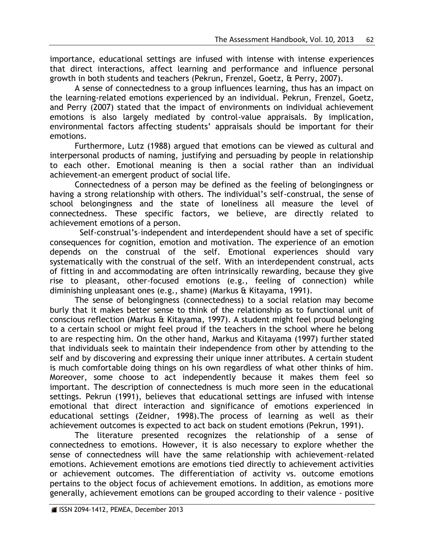importance, educational settings are infused with intense with intense experiences that direct interactions, affect learning and performance and influence personal growth in both students and teachers (Pekrun, Frenzel, Goetz, & Perry, 2007).

A sense of connectedness to a group influences learning, thus has an impact on the learning-related emotions experienced by an individual. Pekrun, Frenzel, Goetz, and Perry (2007) stated that the impact of environments on individual achievement emotions is also largely mediated by control-value appraisals. By implication, environmental factors affecting students' appraisals should be important for their emotions.

Furthermore, Lutz (1988) argued that emotions can be viewed as cultural and interpersonal products of naming, justifying and persuading by people in relationship to each other. Emotional meaning is then a social rather than an individual achievement-an emergent product of social life.

Connectedness of a person may be defined as the feeling of belongingness or having a strong relationship with others. The individual's self-construal, the sense of school belongingness and the state of loneliness all measure the level of connectedness. These specific factors, we believe, are directly related to achievement emotions of a person.

 Self-construal's–independent and interdependent should have a set of specific consequences for cognition, emotion and motivation. The experience of an emotion depends on the construal of the self. Emotional experiences should vary systematically with the construal of the self. With an interdependent construal, acts of fitting in and accommodating are often intrinsically rewarding, because they give rise to pleasant, other-focused emotions (e.g., feeling of connection) while diminishing unpleasant ones (e.g., shame) (Markus & Kitayama, 1991).

The sense of belongingness (connectedness) to a social relation may become burly that it makes better sense to think of the relationship as to functional unit of conscious reflection (Markus & Kitayama, 1997). A student might feel proud belonging to a certain school or might feel proud if the teachers in the school where he belong to are respecting him. On the other hand, Markus and Kitayama (1997) further stated that individuals seek to maintain their independence from other by attending to the self and by discovering and expressing their unique inner attributes. A certain student is much comfortable doing things on his own regardless of what other thinks of him. Moreover, some choose to act independently because it makes them feel so important. The description of connectedness is much more seen in the educational settings. Pekrun (1991), believes that educational settings are infused with intense emotional that direct interaction and significance of emotions experienced in educational settings (Zeidner, 1998).The process of learning as well as their achievement outcomes is expected to act back on student emotions (Pekrun, 1991).

The literature presented recognizes the relationship of a sense of connectedness to emotions. However, it is also necessary to explore whether the sense of connectedness will have the same relationship with achievement-related emotions. Achievement emotions are emotions tied directly to achievement activities or achievement outcomes. The differentiation of activity vs. outcome emotions pertains to the object focus of achievement emotions. In addition, as emotions more generally, achievement emotions can be grouped according to their valence - positive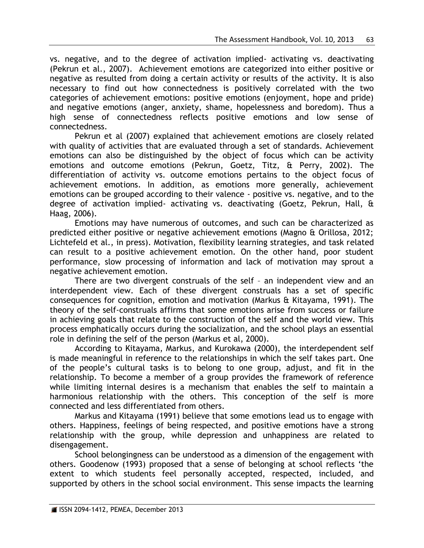vs. negative, and to the degree of activation implied- activating vs. deactivating (Pekrun et al., 2007). Achievement emotions are categorized into either positive or negative as resulted from doing a certain activity or results of the activity. It is also necessary to find out how connectedness is positively correlated with the two categories of achievement emotions: positive emotions (enjoyment, hope and pride) and negative emotions (anger, anxiety, shame, hopelessness and boredom). Thus a high sense of connectedness reflects positive emotions and low sense of connectedness.

Pekrun et al (2007) explained that achievement emotions are closely related with quality of activities that are evaluated through a set of standards. Achievement emotions can also be distinguished by the object of focus which can be activity emotions and outcome emotions (Pekrun, Goetz, Titz, & Perry, 2002). The differentiation of activity vs. outcome emotions pertains to the object focus of achievement emotions. In addition, as emotions more generally, achievement emotions can be grouped according to their valence - positive vs. negative, and to the degree of activation implied- activating vs. deactivating (Goetz, Pekrun, Hall, & Haag, 2006).

Emotions may have numerous of outcomes, and such can be characterized as predicted either positive or negative achievement emotions (Magno & Orillosa, 2012; Lichtefeld et al., in press). Motivation, flexibility learning strategies, and task related can result to a positive achievement emotion. On the other hand, poor student performance, slow processing of information and lack of motivation may sprout a negative achievement emotion.

There are two divergent construals of the self – an independent view and an interdependent view. Each of these divergent construals has a set of specific consequences for cognition, emotion and motivation (Markus & Kitayama, 1991). The theory of the self-construals affirms that some emotions arise from success or failure in achieving goals that relate to the construction of the self and the world view. This process emphatically occurs during the socialization, and the school plays an essential role in defining the self of the person (Markus et al, 2000).

According to Kitayama, Markus, and Kurokawa (2000), the interdependent self is made meaningful in reference to the relationships in which the self takes part. One of the people's cultural tasks is to belong to one group, adjust, and fit in the relationship. To become a member of a group provides the framework of reference while limiting internal desires is a mechanism that enables the self to maintain a harmonious relationship with the others. This conception of the self is more connected and less differentiated from others.

Markus and Kitayama (1991) believe that some emotions lead us to engage with others. Happiness, feelings of being respected, and positive emotions have a strong relationship with the group, while depression and unhappiness are related to disengagement.

School belongingness can be understood as a dimension of the engagement with others. Goodenow (1993) proposed that a sense of belonging at school reflects 'the extent to which students feel personally accepted, respected, included, and supported by others in the school social environment. This sense impacts the learning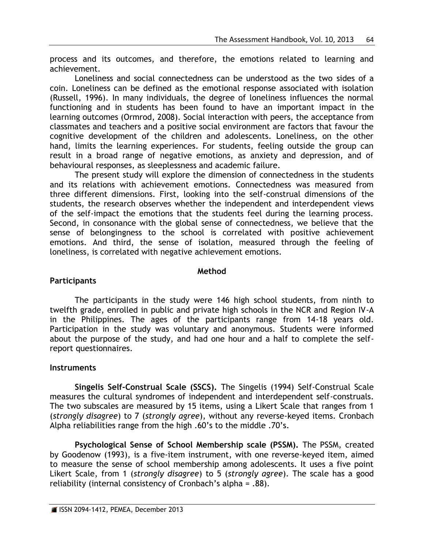process and its outcomes, and therefore, the emotions related to learning and achievement.

Loneliness and social connectedness can be understood as the two sides of a coin. Loneliness can be defined as the emotional response associated with isolation (Russell, 1996). In many individuals, the degree of loneliness influences the normal functioning and in students has been found to have an important impact in the learning outcomes (Ormrod, 2008). Social interaction with peers, the acceptance from classmates and teachers and a positive social environment are factors that favour the cognitive development of the children and adolescents. Loneliness, on the other hand, limits the learning experiences. For students, feeling outside the group can result in a broad range of negative emotions, as anxiety and depression, and of behavioural responses, as sleeplessness and academic failure.

The present study will explore the dimension of connectedness in the students and its relations with achievement emotions. Connectedness was measured from three different dimensions. First, looking into the self-construal dimensions of the students, the research observes whether the independent and interdependent views of the self-impact the emotions that the students feel during the learning process. Second, in consonance with the global sense of connectedness, we believe that the sense of belongingness to the school is correlated with positive achievement emotions. And third, the sense of isolation, measured through the feeling of loneliness, is correlated with negative achievement emotions.

# **Method**

# **Participants**

The participants in the study were 146 high school students, from ninth to twelfth grade, enrolled in public and private high schools in the NCR and Region IV-A in the Philippines. The ages of the participants range from 14-18 years old. Participation in the study was voluntary and anonymous. Students were informed about the purpose of the study, and had one hour and a half to complete the selfreport questionnaires.

# **Instruments**

**Singelis Self-Construal Scale (SSCS).** The Singelis (1994) Self-Construal Scale measures the cultural syndromes of independent and interdependent self-construals. The two subscales are measured by 15 items, using a Likert Scale that ranges from 1 (*strongly disagree*) to 7 (*strongly agree*), without any reverse-keyed items. Cronbach Alpha reliabilities range from the high .60's to the middle .70's.

**Psychological Sense of School Membership scale (PSSM).** The PSSM, created by Goodenow (1993), is a five-item instrument, with one reverse-keyed item, aimed to measure the sense of school membership among adolescents. It uses a five point Likert Scale, from 1 (*strongly disagree*) to 5 (*strongly agree*). The scale has a good reliability (internal consistency of Cronbach's alpha =  $.88$ ).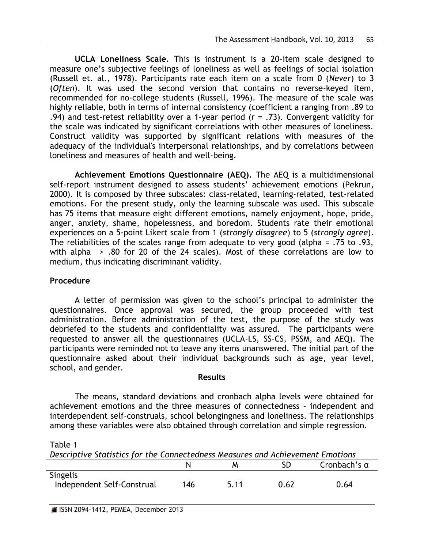**UCLA Loneliness Scale.** This is instrument is a 20-item scale designed to measure one's subjective feelings of loneliness as well as feelings of social isolation (Russell et. al., 1978). Participants rate each item on a scale from 0 (*Never*) to 3 (*Often*). It was used the second version that contains no reverse-keyed item, recommended for no-college students (Russell, 1996). The measure of the scale was highly reliable, both in terms of internal consistency (coefficient a ranging from .89 to .94) and test-retest reliability over a 1-year period ( $r = .73$ ). Convergent validity for the scale was indicated by significant correlations with other measures of loneliness. Construct validity was supported by significant relations with measures of the adequacy of the individual's interpersonal relationships, and by correlations between loneliness and measures of health and well-being.

**Achievement Emotions Questionnaire (AEQ).** The AEQ is a multidimensional self-report instrument designed to assess students' achievement emotions (Pekrun, 2000). It is composed by three subscales: class-related, learning-related, test-related emotions. For the present study, only the learning subscale was used. This subscale has 75 items that measure eight different emotions, namely enjoyment, hope, pride, anger, anxiety, shame, hopelessness, and boredom. Students rate their emotional experiences on a 5-point Likert scale from 1 (*strongly disagree*) to 5 (*strongly agree*). The reliabilities of the scales range from adequate to very good (alpha = .75 to .93, with alpha > .80 for 20 of the 24 scales). Most of these correlations are low to medium, thus indicating discriminant validity.

# **Procedure**

A letter of permission was given to the school's principal to administer the questionnaires. Once approval was secured, the group proceeded with test administration. Before administration of the test, the purpose of the study was debriefed to the students and confidentiality was assured. The participants were requested to answer all the questionnaires (UCLA-LS, SS-CS, PSSM, and AEQ). The participants were reminded not to leave any items unanswered. The initial part of the questionnaire asked about their individual backgrounds such as age, year level, school, and gender.

# **Results**

The means, standard deviations and cronbach alpha levels were obtained for achievement emotions and the three measures of connectedness – independent and interdependent self-construals, school belongingness and loneliness. The relationships among these variables were also obtained through correlation and simple regression.

*Descriptive Statistics for the Connectedness Measures and Achievement Emotions* N M SD Cronbach's α Singelis Independent Self-Construal 146 5.11 0.62 0.64

Table 1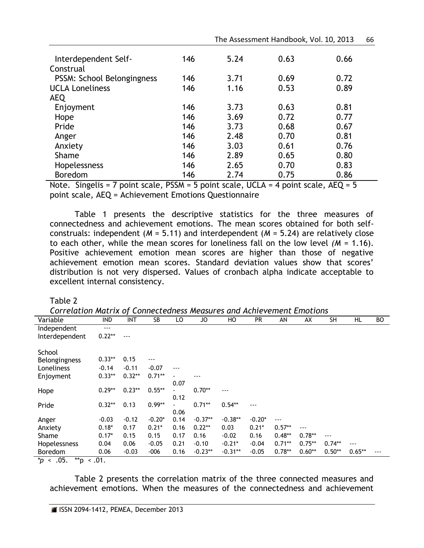|                            |     |      | The Assessment Handbook, Vol. 10, 2013 |      | bb. |
|----------------------------|-----|------|----------------------------------------|------|-----|
| Interdependent Self-       | 146 | 5.24 | 0.63                                   | 0.66 |     |
| Construal                  |     |      |                                        |      |     |
| PSSM: School Belongingness | 146 | 3.71 | 0.69                                   | 0.72 |     |
| <b>UCLA Loneliness</b>     | 146 | 1.16 | 0.53                                   | 0.89 |     |
| <b>AEQ</b>                 |     |      |                                        |      |     |
| Enjoyment                  | 146 | 3.73 | 0.63                                   | 0.81 |     |
| Hope                       | 146 | 3.69 | 0.72                                   | 0.77 |     |
| Pride                      | 146 | 3.73 | 0.68                                   | 0.67 |     |
| Anger                      | 146 | 2.48 | 0.70                                   | 0.81 |     |
| Anxiety                    | 146 | 3.03 | 0.61                                   | 0.76 |     |
| Shame                      | 146 | 2.89 | 0.65                                   | 0.80 |     |
| Hopelessness               | 146 | 2.65 | 0.70                                   | 0.83 |     |
| <b>Boredom</b>             | 146 | 2.74 | 0.75                                   | 0.86 |     |

The Assessment Handbook, Vol. 10, 2013 66

Note. Singelis = 7 point scale, PSSM = 5 point scale, UCLA = 4 point scale, AEQ = 5 point scale, AEQ = Achievement Emotions Questionnaire

Table 1 presents the descriptive statistics for the three measures of connectedness and achievement emotions. The mean scores obtained for both selfconstruals: independent (*M* = 5.11) and interdependent (*M* = 5.24) are relatively close to each other, while the mean scores for loneliness fall on the low level *(M* = 1.16). Positive achievement emotion mean scores are higher than those of negative achievement emotion mean scores. Standard deviation values show that scores' distribution is not very dispersed. Values of cronbach alpha indicate acceptable to excellent internal consistency.

Table 2

*Correlation Matrix of Connectedness Measures and Achievement Emotions* Variable IND INT SB LO JO HO PR AN AX SH HL BO Independent ---Interdependent 0.22\*\* --- School Belongingness 0.33\*\* 0.15 --- Loneliness -0.14 -0.11 -0.07 --- Enjoyment 0.33\*\* 0.32\*\* 0.71\*\* - 0.07 --- Hope 0.29\*\* 0.23\*\* 0.55\*\* 0.12 0.70\*\* --- Pride 0.32\*\* 0.13 0.99\*\* 0.06 0.71\*\* 0.54\*\* --- Anger -0.03 -0.12 -0.20\* 0.14 -0.37\*\* -0.38\*\* -0.20\* --- Anxiety 0.18\* 0.17 0.21\* 0.16 0.22\*\* 0.03 0.21\* 0.57\*\* --- Shame 0.17\* 0.15 0.15 0.17 0.16 -0.02 0.16 0.48\*\* 0.78\*\* --- Hopelessness 0.04 0.06 -0.05 0.21 -0.10 -0.21\* -0.04 0.71\*\* 0.75\*\* 0.74\*\* --- Boredom 0.06 -0.03 -006 0.16 -0.23\*\* -0.31\*\* -0.05 0.78\*\* 0.60\*\* 0.50\*\* 0.65\*\* --- *\*p* < .05. \*\*p < .01.

Table 2 presents the correlation matrix of the three connected measures and achievement emotions. When the measures of the connectedness and achievement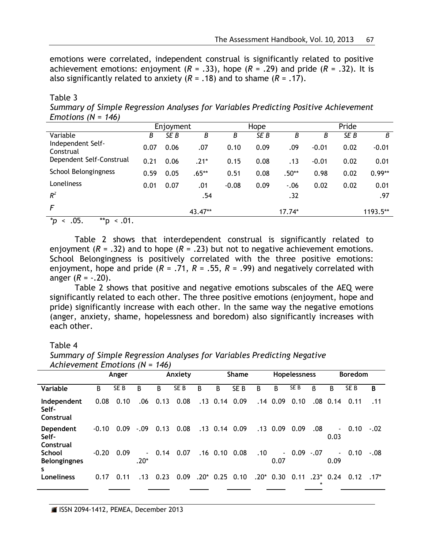emotions were correlated, independent construal is significantly related to positive achievement emotions: enjoyment  $(R = .33)$ , hope  $(R = .29)$  and pride  $(R = .32)$ . It is also significantly related to anxiety  $(R = .18)$  and to shame  $(R = .17)$ .

Table 3 *Summary of Simple Regression Analyses for Variables Predicting Positive Achievement Emotions (N = 146)*

|                                         | Enjoyment |      | Hope    |         |                 | Pride   |         |      |          |
|-----------------------------------------|-----------|------|---------|---------|-----------------|---------|---------|------|----------|
| Variable                                | Β         | SE B | В       | Β       | SE <sub>B</sub> | Β       | Β       | SE B | В        |
| Independent Self-<br>Construal          | 0.07      | 0.06 | .07     | 0.10    | 0.09            | .09     | $-0.01$ | 0.02 | $-0.01$  |
| Dependent Self-Construal                | 0.21      | 0.06 | .21*    | 0.15    | 0.08            | .13     | $-0.01$ | 0.02 | 0.01     |
| School Belongingness                    | 0.59      | 0.05 | $.65**$ | 0.51    | 0.08            | $.50**$ | 0.98    | 0.02 | $0.99**$ |
| Loneliness                              | 0.01      | 0.07 | .01     | $-0.08$ | 0.09            | $-.06$  | 0.02    | 0.02 | 0.01     |
| $R^2$                                   |           |      | .54     |         |                 | .32     |         |      | .97      |
| F                                       |           |      | 43.47** |         |                 | 17.74*  |         |      | 1193.5** |
| $x - 1$<br>ΛE<br>$***-$<br>$\mathsf{A}$ |           |      |         |         |                 |         |         |      |          |

*\*p* < .05. \*\*p < .01.

Table 2 shows that interdependent construal is significantly related to enjoyment  $(R = .32)$  and to hope  $(R = .23)$  but not to negative achievement emotions. School Belongingness is positively correlated with the three positive emotions: enjoyment, hope and pride  $(R = .71, R = .55, R = .99)$  and negatively correlated with anger  $(R = -.20)$ .

Table 2 shows that positive and negative emotions subscales of the AEQ were significantly related to each other. The three positive emotions (enjoyment, hope and pride) significantly increase with each other. In the same way the negative emotions (anger, anxiety, shame, hopelessness and boredom) also significantly increases with each other.

#### Table 4

|                                            |         | Anger           |                        |      | Anxiety         |         |            | <b>Shame</b>    |      |            | <b>Hopelessness</b> |                   |                        | <b>Boredom</b>  |         |
|--------------------------------------------|---------|-----------------|------------------------|------|-----------------|---------|------------|-----------------|------|------------|---------------------|-------------------|------------------------|-----------------|---------|
| Variable                                   | B       | SE <sub>B</sub> | B                      | В    | SE <sub>B</sub> | B       | B          | SE <sub>B</sub> | В    | B          | SE <sub>B</sub>     | ß                 | В                      | SE <sub>B</sub> | B       |
| Independent<br>Self-<br>Construal          | 0.08    | 0.10            | .06                    | 0.13 | 0.08            |         | $.13$ 0.14 | 0.09            | .14  | 0.09       | 0.10                | .08               | 0.14                   | 0.11            | .11     |
| Dependent<br>Self-<br>Construal            | $-0.10$ | 0.09            | $-.09$                 | 0.13 | 0.08            |         |            | $.13$ 0.14 0.09 |      | $.13$ 0.09 | 0.09                | .08               | $\sim$<br>0.03         | 0.10            | $-.02$  |
| <b>School</b><br><b>Belongingnes</b><br>s. | $-0.20$ | 0.09            | $\blacksquare$<br>.20* | 0.14 | 0.07            |         | $.16$ 0.10 | 0.08            | .10  | 0.07       | $-0.09 - 0.07$      |                   | $\blacksquare$<br>0.09 | 0.10            | $-.08$  |
| Loneliness                                 | 0.17    | 0.11            | .13                    | 0.23 | 0.09            | $.20^*$ | 0.25       | 0.10            | .20* | 0.30       | 0.11                | $.23*$<br>$\star$ | 0.24                   | 0.12            | $.17^*$ |

*Summary of Simple Regression Analyses for Variables Predicting Negative Achievement Emotions (N = 146)*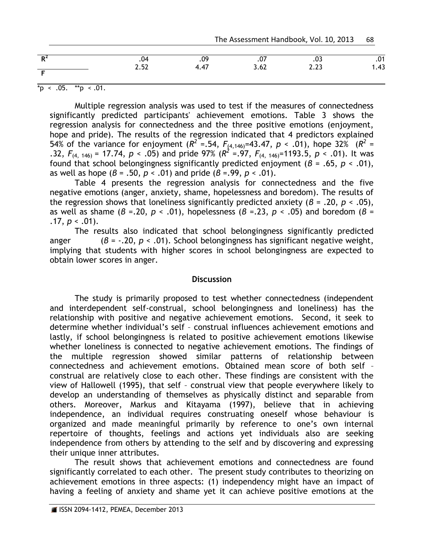| <b>D</b><br>-17 | 04.  | .09                    | .07  | .03         | .01  |
|-----------------|------|------------------------|------|-------------|------|
|                 | 2.52 | $\overline{a}$<br>4.47 | 3.62 | ววว<br>L.LJ | 1.43 |

 $*_{p}$  < .05.  $*_{p}$  < .01.

Multiple regression analysis was used to test if the measures of connectedness significantly predicted participants' achievement emotions. Table 3 shows the regression analysis for connectedness and the three positive emotions (enjoyment, hope and pride). The results of the regression indicated that 4 predictors explained 54% of the variance for enjoyment ( $R^2 = .54$ ,  $F_{(4,146)} = 43.47$ ,  $p < .01$ ), hope 32% ( $R^2 = .54$ ) .32,  $F_{(4, 146)} = 17.74$ ,  $p < .05$ ) and pride 97% ( $R^2 = .97$ ,  $F_{(4, 146)} = 1193.5$ ,  $p < .01$ ). It was found that school belongingness significantly predicted enjoyment (*β* = .65, *p* < .01), as well as hope (*β* = .50, *p* < .01) and pride (*β* =.99, *p* < .01).

Table 4 presents the regression analysis for connectedness and the five negative emotions (anger, anxiety, shame, hopelessness and boredom). The results of the regression shows that loneliness significantly predicted anxiety (*β* = .20, *p* < .05), as well as shame (*β* =.20, *p* < .01), hopelessness (*β* =.23, *p* < .05) and boredom (*β* = .17,  $p < .01$ ).

The results also indicated that school belongingness significantly predicted anger (*β* = -.20, *p* < .01). School belongingness has significant negative weight, implying that students with higher scores in school belongingness are expected to obtain lower scores in anger.

#### **Discussion**

The study is primarily proposed to test whether connectedness (independent and interdependent self-construal, school belongingness and loneliness) has the relationship with positive and negative achievement emotions. Second, it seek to determine whether individual's self – construal influences achievement emotions and lastly, if school belongingness is related to positive achievement emotions likewise whether loneliness is connected to negative achievement emotions. The findings of the multiple regression showed similar patterns of relationship between connectedness and achievement emotions. Obtained mean score of both self – construal are relatively close to each other. These findings are consistent with the view of Hallowell (1995), that self – construal view that people everywhere likely to develop an understanding of themselves as physically distinct and separable from others. Moreover, Markus and Kitayama (1997), believe that in achieving independence, an individual requires construating oneself whose behaviour is organized and made meaningful primarily by reference to one's own internal repertoire of thoughts, feelings and actions yet individuals also are seeking independence from others by attending to the self and by discovering and expressing their unique inner attributes.

The result shows that achievement emotions and connectedness are found significantly correlated to each other. The present study contributes to theorizing on achievement emotions in three aspects: (1) independency might have an impact of having a feeling of anxiety and shame yet it can achieve positive emotions at the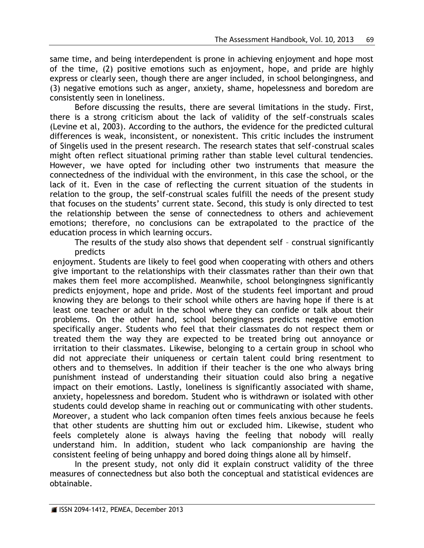same time, and being interdependent is prone in achieving enjoyment and hope most of the time, (2) positive emotions such as enjoyment, hope, and pride are highly express or clearly seen, though there are anger included, in school belongingness, and (3) negative emotions such as anger, anxiety, shame, hopelessness and boredom are consistently seen in loneliness.

Before discussing the results, there are several limitations in the study. First, there is a strong criticism about the lack of validity of the self-construals scales (Levine et al, 2003). According to the authors, the evidence for the predicted cultural differences is weak, inconsistent, or nonexistent. This critic includes the instrument of Singelis used in the present research. The research states that self-construal scales might often reflect situational priming rather than stable level cultural tendencies. However, we have opted for including other two instruments that measure the connectedness of the individual with the environment, in this case the school, or the lack of it. Even in the case of reflecting the current situation of the students in relation to the group, the self-construal scales fulfill the needs of the present study that focuses on the students' current state. Second, this study is only directed to test the relationship between the sense of connectedness to others and achievement emotions; therefore, no conclusions can be extrapolated to the practice of the education process in which learning occurs.

The results of the study also shows that dependent self – construal significantly predicts

enjoyment. Students are likely to feel good when cooperating with others and others give important to the relationships with their classmates rather than their own that makes them feel more accomplished. Meanwhile, school belongingness significantly predicts enjoyment, hope and pride. Most of the students feel important and proud knowing they are belongs to their school while others are having hope if there is at least one teacher or adult in the school where they can confide or talk about their problems. On the other hand, school belongingness predicts negative emotion specifically anger. Students who feel that their classmates do not respect them or treated them the way they are expected to be treated bring out annoyance or irritation to their classmates. Likewise, belonging to a certain group in school who did not appreciate their uniqueness or certain talent could bring resentment to others and to themselves. In addition if their teacher is the one who always bring punishment instead of understanding their situation could also bring a negative impact on their emotions. Lastly, loneliness is significantly associated with shame, anxiety, hopelessness and boredom. Student who is withdrawn or isolated with other students could develop shame in reaching out or communicating with other students. Moreover, a student who lack companion often times feels anxious because he feels that other students are shutting him out or excluded him. Likewise, student who feels completely alone is always having the feeling that nobody will really understand him. In addition, student who lack companionship are having the consistent feeling of being unhappy and bored doing things alone all by himself.

In the present study, not only did it explain construct validity of the three measures of connectedness but also both the conceptual and statistical evidences are obtainable.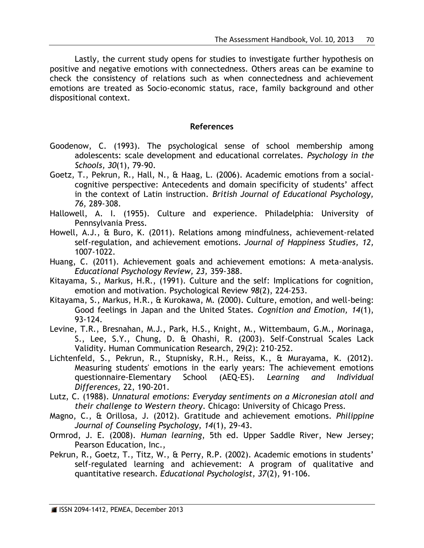Lastly, the current study opens for studies to investigate further hypothesis on positive and negative emotions with connectedness. Others areas can be examine to check the consistency of relations such as when connectedness and achievement emotions are treated as Socio-economic status, race, family background and other dispositional context.

# **References**

- Goodenow, C. (1993). The psychological sense of school membership among adolescents: scale development and educational correlates. *Psychology in the Schools, 30*(1), 79-90.
- Goetz, T., Pekrun, R., Hall, N., & Haag, L. (2006). Academic emotions from a socialcognitive perspective: Antecedents and domain specificity of students' affect in the context of Latin instruction. *British Journal of Educational Psychology, 76,* 289-308.
- Hallowell, A. I. (1955). Culture and experience. Philadelphia: University of Pennsylvania Press.
- Howell, A.J., & Buro, K. (2011). Relations among mindfulness, achievement-related self-regulation, and achievement emotions. *Journal of Happiness Studies, 12,* 1007-1022.
- Huang, C. (2011). Achievement goals and achievement emotions: A meta-analysis. *Educational Psychology Review, 23,* 359-388.
- Kitayama, S., Markus, H.R., (1991). Culture and the self: Implications for cognition, emotion and motivation. Psychological Review *98*(2), 224-253.
- Kitayama, S., Markus, H.R., & Kurokawa, M. (2000). Culture, emotion, and well-being: Good feelings in Japan and the United States. *Cognition and Emotion, 14*(1), 93-124.
- Levine, T.R., Bresnahan, M.J., Park, H.S., Knight, M., Wittembaum, G.M., Morinaga, S., Lee, S.Y., Chung, D. & Ohashi, R. (2003). Self-Construal Scales Lack Validity. Human Communication Research, 29(2): 210-252.
- Lichtenfeld, S., Pekrun, R., Stupnisky, R.H., Reiss, K., & Murayama, K. (2012). Measuring students' emotions in the early years: The achievement emotions questionnaire-Elementary School (AEQ-ES). *Learning and Individual Differences,* 22, 190-201.
- Lutz, C. (1988). *Unnatural emotions: Everyday sentiments on a Micronesian atoll and their challenge to Western theory*. Chicago: University of Chicago Press.
- Magno, C., & Orillosa, J. (2012). Gratitude and achievement emotions. *Philippine Journal of Counseling Psychology, 14*(1), 29-43.
- Ormrod, J. E. (2008). *Human learning*, 5th ed. Upper Saddle River, New Jersey; Pearson Education, Inc.,
- Pekrun, R., Goetz, T., Titz, W., & Perry, R.P. (2002). Academic emotions in students' self-regulated learning and achievement: A program of qualitative and quantitative research. *Educational Psychologist, 37*(2), 91-106.